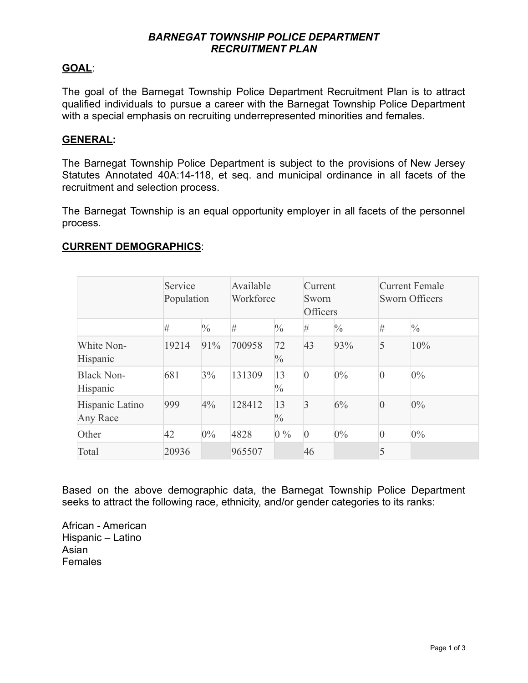## *BARNEGAT TOWNSHIP POLICE DEPARTMENT RECRUITMENT PLAN*

## **GOAL**:

The goal of the Barnegat Township Police Department Recruitment Plan is to attract qualified individuals to pursue a career with the Barnegat Township Police Department with a special emphasis on recruiting underrepresented minorities and females.

#### **GENERAL:**

The Barnegat Township Police Department is subject to the provisions of New Jersey Statutes Annotated 40A:14-118, et seq. and municipal ordinance in all facets of the recruitment and selection process.

The Barnegat Township is an equal opportunity employer in all facets of the personnel process.

#### **CURRENT DEMOGRAPHICS**:

|                               | Service<br>Population |               | Available<br>Workforce |                     | Current<br>Sworn<br>Officers |               | <b>Current Female</b><br><b>Sworn Officers</b> |               |
|-------------------------------|-----------------------|---------------|------------------------|---------------------|------------------------------|---------------|------------------------------------------------|---------------|
|                               | #                     | $\frac{0}{0}$ | #                      | $\frac{0}{0}$       | #                            | $\frac{0}{0}$ | #                                              | $\frac{0}{0}$ |
| White Non-<br>Hispanic        | 19214                 | 91%           | 700958                 | 72<br>$\frac{0}{0}$ | 43                           | 93%           | 5                                              | 10%           |
| <b>Black Non-</b><br>Hispanic | 681                   | 3%            | 131309                 | 13<br>$\frac{0}{0}$ | $\overline{0}$               | $0\%$         | $\theta$                                       | $0\%$         |
| Hispanic Latino<br>Any Race   | 999                   | 4%            | 128412                 | 13<br>$\frac{0}{0}$ | $\overline{3}$               | 6%            | $\overline{0}$                                 | $0\%$         |
| Other                         | 42                    | $0\%$         | 4828                   | $0\%$               | $\overline{0}$               | $0\%$         | $\overline{0}$                                 | $0\%$         |
| Total                         | 20936                 |               | 965507                 |                     | 46                           |               | 5                                              |               |

Based on the above demographic data, the Barnegat Township Police Department seeks to attract the following race, ethnicity, and/or gender categories to its ranks:

African - American Hispanic – Latino Asian Females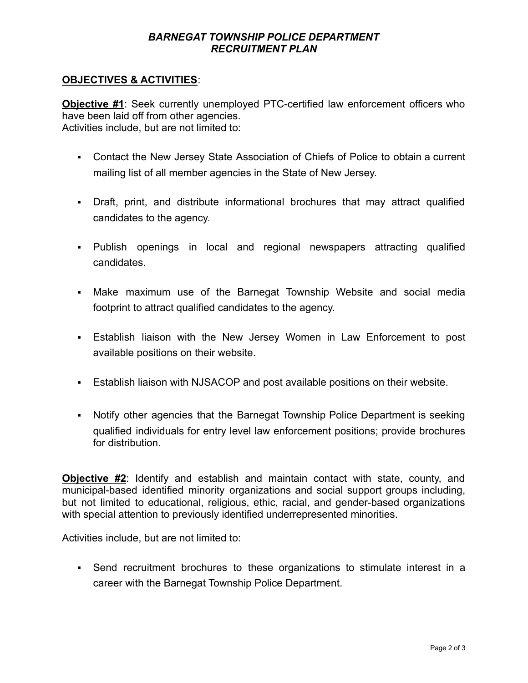## *BARNEGAT TOWNSHIP POLICE DEPARTMENT RECRUITMENT PLAN*

### **OBJECTIVES & ACTIVITIES**:

**Objective #1**: Seek currently unemployed PTC-certified law enforcement officers who have been laid off from other agencies. Activities include, but are not limited to:

- Contact the New Jersey State Association of Chiefs of Police to obtain a current mailing list of all member agencies in the State of New Jersey.
- Draft, print, and distribute informational brochures that may attract qualified candidates to the agency.
- Publish openings in local and regional newspapers attracting qualified candidates.
- **Make maximum use of the Barnegat Township Website and social media** footprint to attract qualified candidates to the agency.
- **Establish liaison with the New Jersey Women in Law Enforcement to post** available positions on their website.
- **Establish liaison with NJSACOP and post available positions on their website.**
- Notify other agencies that the Barnegat Township Police Department is seeking qualified individuals for entry level law enforcement positions; provide brochures for distribution.

**Objective #2**: Identify and establish and maintain contact with state, county, and municipal-based identified minority organizations and social support groups including, but not limited to educational, religious, ethic, racial, and gender-based organizations with special attention to previously identified underrepresented minorities.

Activities include, but are not limited to:

▪ Send recruitment brochures to these organizations to stimulate interest in a career with the Barnegat Township Police Department.